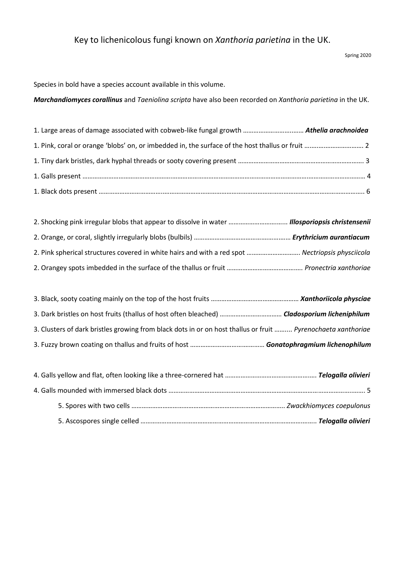Spring 2020

Species in bold have a species account available in this volume.

*Marchandiomyces corallinus* and *Taeniolina scripta* have also been recorded on *Xanthoria parietina* in the UK.

| 2. Pink spherical structures covered in white hairs and with a red spot  Nectriopsis physciicola |  |
|--------------------------------------------------------------------------------------------------|--|
|                                                                                                  |  |

| 3. Clusters of dark bristles growing from black dots in or on host thallus or fruit  Pyrenochaeta xanthoriae |  |
|--------------------------------------------------------------------------------------------------------------|--|
|                                                                                                              |  |